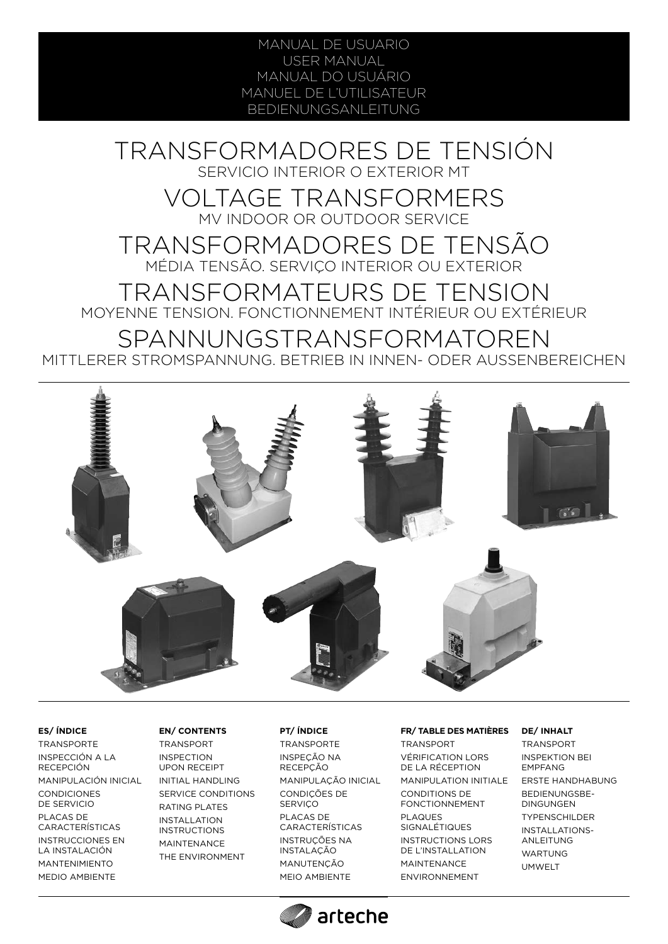MANUAL DE USUARIO USER MANUAL MANUAL DO USUÁRIO MANUEL DE L'UTILISATEUR BEDIENUNGSANLEITUNG

TRANSFORMADORES DE TENSIÓN SERVICIO INTERIOR O EXTERIOR MT

VOLTAGE TRANSFORMERS MV INDOOR OR OUTDOOR SERVICE

TRANSFORMADORES DE TENSÃO MÉDIA TENSÃO. SERVIÇO INTERIOR OU EXTERIOR

TRANSFORMATEURS DE TENSION MOYENNE TENSION. FONCTIONNEMENT INTÉRIEUR OU EXTÉRIEUR

SPANNUNGSTRANSFORMATOREN MITTLERER STROMSPANNUNG. BETRIEB IN INNEN- ODER AUSSENBEREICHEN



## **ES/ ÍNDICE**

TRANSPORTE INSPECCIÓN A LA RECEPCIÓN MANIPULACIÓN INICIAL CONDICIONES DE SERVICIO PLACAS DE CARACTERÍSTICAS INSTRUCCIONES EN LA INSTALACIÓN MANTENIMIENTO MEDIO AMBIENTE

### **EN/ CONTENTS**

TRANSPORT INSPECTION UPON RECEIPT INITIAL HANDLING SERVICE CONDITIONS RATING PLATES INSTALLATION INSTRUCTIONS MAINTENANCE THE ENVIRONMENT

### **PT/ ÍNDICE**

TRANSPORTE INSPEÇÃO NA RECEPÇÃO MANIPULAÇÃO INICIAL CONDIÇÕES DE **SERVICO** PLACAS DE CARACTERÍSTICAS INSTRUÇÕES NA INSTALAÇÃO MANUTENÇÃO MEIO AMBIENTE

arteche

### **FR/ TABLE DES MATIÈRES**

**TRANSPORT** VÉRIFICATION LORS DE LA RÉCEPTION MANIPULATION INITIALE CONDITIONS DE FONCTIONNEMENT PLAQUES SIGNALÉTIQUES INSTRUCTIONS LORS DE L'INSTALLATION MAINTENANCE ENVIRONNEMENT

### **DE/ INHALT**

**TRANSPORT** INSPEKTION BEI EMPFANG ERSTE HANDHABUNG BEDIENUNGSBE-DINGUNGEN TYPENSCHILDER INSTALLATIONS-ANLEITUNG WARTUNG UMWELT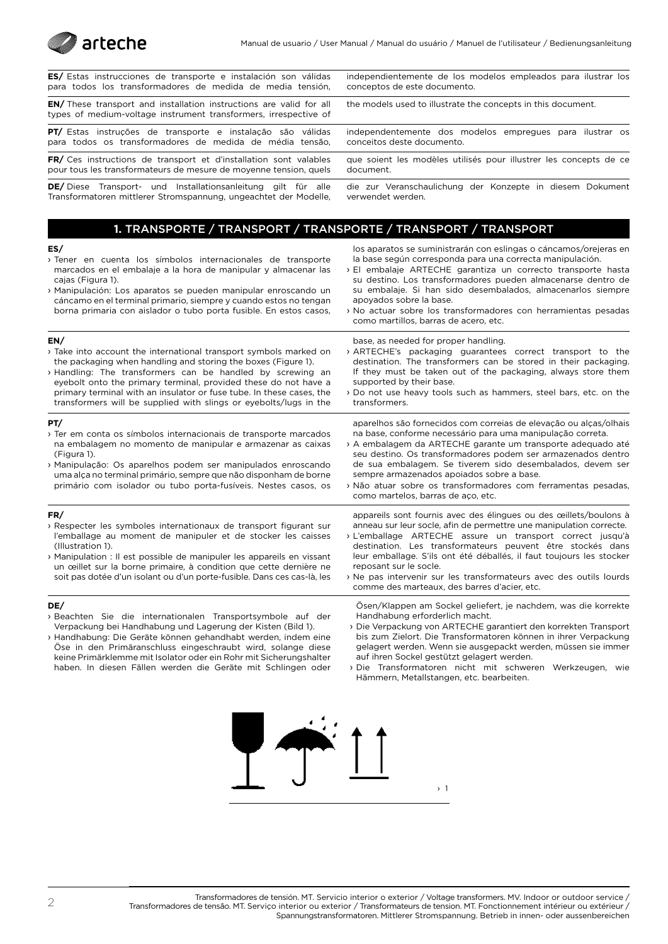

| <b>ES/</b> Estas instrucciones de transporte e instalación son válidas                                                                         | independientemente de los modelos empleados para ilustrar los     |
|------------------------------------------------------------------------------------------------------------------------------------------------|-------------------------------------------------------------------|
| para todos los transformadores de medida de media tensión,                                                                                     | conceptos de este documento.                                      |
| <b>EN/</b> These transport and installation instructions are valid for all<br>types of medium-voltage instrument transformers, irrespective of | the models used to illustrate the concepts in this document.      |
| <b>PT/</b> Estas instruções de transporte e instalação são válidas                                                                             | independentemente dos modelos empregues para ilustrar os          |
| para todos os transformadores de medida de média tensão.                                                                                       | conceitos deste documento.                                        |
| <b>FR/</b> Ces instructions de transport et d'installation sont valables                                                                       | que soient les modèles utilisés pour illustrer les concepts de ce |
| pour tous les transformateurs de mesure de moyenne tension, quels                                                                              | document.                                                         |
| <b>DE/</b> Diese Transport- und Installationsanleitung<br>ailt für alle                                                                        | die zur Veranschaulichung der Konzepte in diesem Dokument         |

verwendet werden.

apoyados sobre la base.

**DE/** Diese Transport- und Installationsanleitung gilt für alle Transformatoren mittlerer Stromspannung, ungeachtet der Modelle,

> **1.** TRANSPORTE / TRANSPORT / TRANSPORTE / TRANSPORT / TRANSPORT los aparatos se suministrarán con eslingas o cáncamos/orejeras en

> > la base según corresponda para una correcta manipulación. › El embalaje ARTECHE garantiza un correcto transporte hasta su destino. Los transformadores pueden almacenarse dentro de su embalaje. Si han sido desembalados, almacenarlos siempre

#### **ES/**

- › Tener en cuenta los símbolos internacionales de transporte marcados en el embalaje a la hora de manipular y almacenar las cajas (Figura 1).
- › Manipulación: Los aparatos se pueden manipular enroscando un cáncamo en el terminal primario, siempre y cuando estos no tengan borna primaria con aislador o tubo porta fusible. En estos casos,

#### **EN/**

- › Take into account the international transport symbols marked on the packaging when handling and storing the boxes (Figure 1).
- › Handling: The transformers can be handled by screwing an eyebolt onto the primary terminal, provided these do not have a primary terminal with an insulator or fuse tube. In these cases, the transformers will be supplied with slings or eyebolts/lugs in the

#### **PT/**

- › Ter em conta os símbolos internacionais de transporte marcados na embalagem no momento de manipular e armazenar as caixas (Figura 1).
- › Manipulação: Os aparelhos podem ser manipulados enroscando uma alça no terminal primário, sempre que não disponham de borne primário com isolador ou tubo porta-fusíveis. Nestes casos, os

#### **FR/**

- › Respecter les symboles internationaux de transport figurant sur l'emballage au moment de manipuler et de stocker les caisses (Illustration 1).
- › Manipulation : Il est possible de manipuler les appareils en vissant un œillet sur la borne primaire, à condition que cette dernière ne soit pas dotée d'un isolant ou d'un porte-fusible. Dans ces cas-là, les

#### **DE/**

- › Beachten Sie die internationalen Transportsymbole auf der Verpackung bei Handhabung und Lagerung der Kisten (Bild 1).
- › Handhabung: Die Geräte können gehandhabt werden, indem eine Öse in den Primäranschluss eingeschraubt wird, solange diese keine Primärklemme mit Isolator oder ein Rohr mit Sicherungshalter haben. In diesen Fällen werden die Geräte mit Schlingen oder
- › No actuar sobre los transformadores con herramientas pesadas como martillos, barras de acero, etc. base, as needed for proper handling.
- › ARTECHE's packaging guarantees correct transport to the destination. The transformers can be stored in their packaging. If they must be taken out of the packaging, always store them supported by their base.
- › Do not use heavy tools such as hammers, steel bars, etc. on the transformers.

aparelhos são fornecidos com correias de elevação ou alças/olhais na base, conforme necessário para uma manipulação correta.

- › A embalagem da ARTECHE garante um transporte adequado até seu destino. Os transformadores podem ser armazenados dentro de sua embalagem. Se tiverem sido desembalados, devem ser sempre armazenados apoiados sobre a base.
- › Não atuar sobre os transformadores com ferramentas pesadas, como martelos, barras de aço, etc.

appareils sont fournis avec des élingues ou des œillets/boulons à anneau sur leur socle, afin de permettre une manipulation correcte.

- › L'emballage ARTECHE assure un transport correct jusqu'à destination. Les transformateurs peuvent être stockés dans leur emballage. S'ils ont été déballés, il faut toujours les stocker reposant sur le socle.
- › Ne pas intervenir sur les transformateurs avec des outils lourds comme des marteaux, des barres d'acier, etc.

Ösen/Klappen am Sockel geliefert, je nachdem, was die korrekte Handhabung erforderlich macht.

- › Die Verpackung von ARTECHE garantiert den korrekten Transport bis zum Zielort. Die Transformatoren können in ihrer Verpackung gelagert werden. Wenn sie ausgepackt werden, müssen sie immer auf ihren Sockel gestützt gelagert werden.
- › Die Transformatoren nicht mit schweren Werkzeugen, wie Hämmern, Metallstangen, etc. bearbeiten.

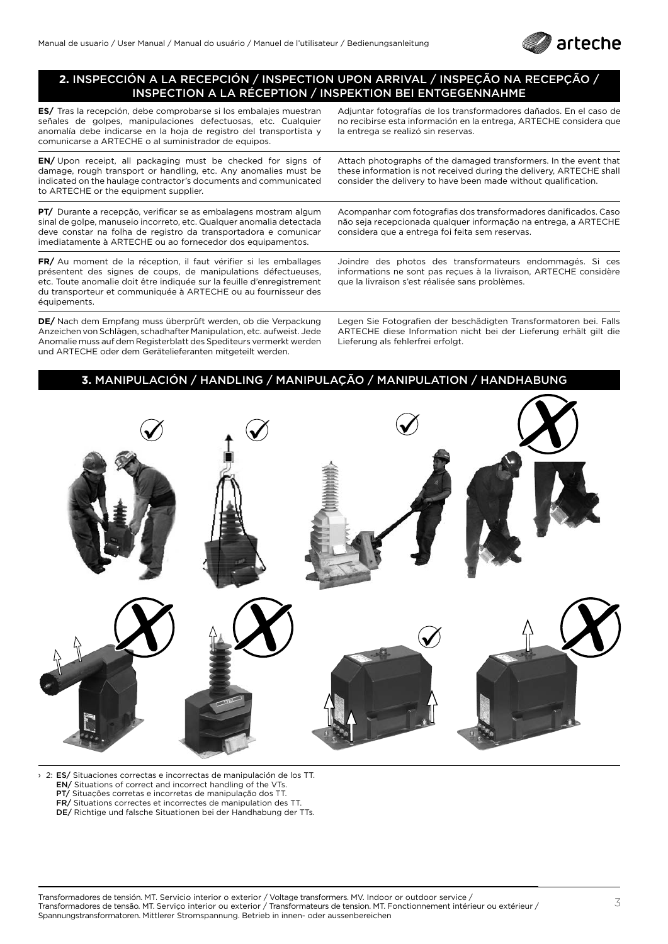

## **2.** INSPECCIÓN A LA RECEPCIÓN / INSPECTION UPON ARRIVAL / INSPEÇÃO NA RECEPÇÃO / INSPECTION A LA RÉCEPTION / INSPEKTION BEI ENTGEGENNAHME

**ES/** Tras la recepción, debe comprobarse si los embalajes muestran señales de golpes, manipulaciones defectuosas, etc. Cualquier anomalía debe indicarse en la hoja de registro del transportista y comunicarse a ARTECHE o al suministrador de equipos.

**EN/** Upon receipt, all packaging must be checked for signs of damage, rough transport or handling, etc. Any anomalies must be indicated on the haulage contractor's documents and communicated to ARTECHE or the equipment supplier.

**PT/** Durante a recepção, verificar se as embalagens mostram algum sinal de golpe, manuseio incorreto, etc. Qualquer anomalia detectada deve constar na folha de registro da transportadora e comunicar imediatamente à ARTECHE ou ao fornecedor dos equipamentos.

**FR/** Au moment de la réception, il faut vérifier si les emballages présentent des signes de coups, de manipulations défectueuses, etc. Toute anomalie doit être indiquée sur la feuille d'enregistrement du transporteur et communiquée à ARTECHE ou au fournisseur des équipements.

**DE/** Nach dem Empfang muss überprüft werden, ob die Verpackung Anzeichen von Schlägen, schadhafter Manipulation, etc. aufweist. Jede Anomalie muss auf dem Registerblatt des Spediteurs vermerkt werden und ARTECHE oder dem Gerätelieferanten mitgeteilt werden.

Adjuntar fotografías de los transformadores dañados. En el caso de no recibirse esta información en la entrega, ARTECHE considera que la entrega se realizó sin reservas.

Attach photographs of the damaged transformers. In the event that these information is not received during the delivery, ARTECHE shall consider the delivery to have been made without qualification.

Acompanhar com fotografias dos transformadores danificados. Caso não seja recepcionada qualquer informação na entrega, a ARTECHE considera que a entrega foi feita sem reservas.

Joindre des photos des transformateurs endommagés. Si ces informations ne sont pas reçues à la livraison, ARTECHE considère que la livraison s'est réalisée sans problèmes.

Legen Sie Fotografien der beschädigten Transformatoren bei. Falls ARTECHE diese Information nicht bei der Lieferung erhält gilt die Lieferung als fehlerfrei erfolgt.

## **3.** MANIPULACIÓN / HANDLING / MANIPULAÇÃO / MANIPULATION / HANDHABUNG



› 2: ES/ Situaciones correctas e incorrectas de manipulación de los TT. EN/ Situations of correct and incorrect handling of the VTs. PT/ Situações corretas e incorretas de manipulação dos TT. FR/ Situations correctes et incorrectes de manipulation des TT. DE/ Richtige und falsche Situationen bei der Handhabung der TTs.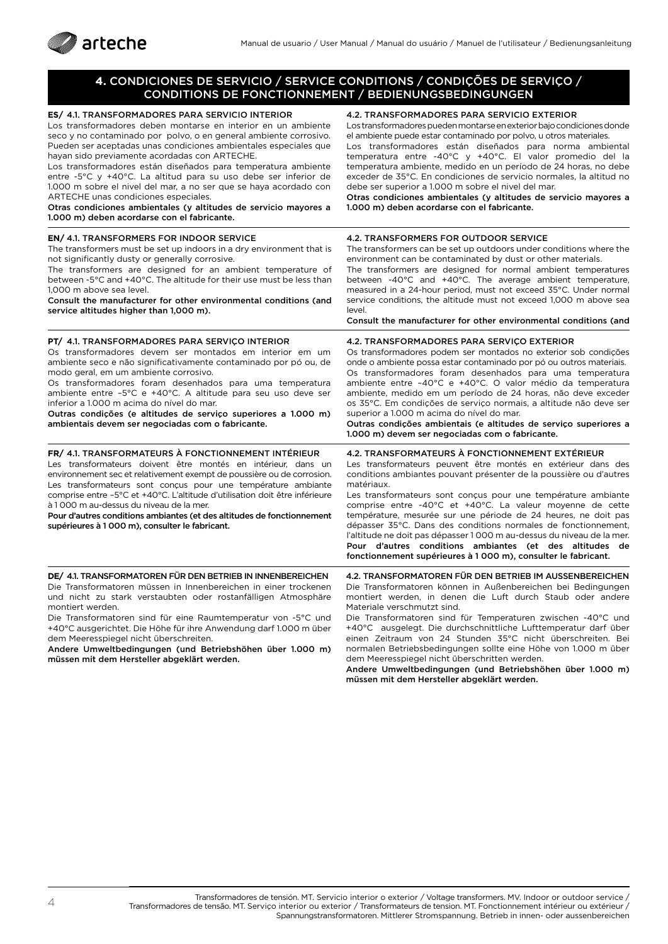

## **4.** CONDICIONES DE SERVICIO / SERVICE CONDITIONS / CONDIÇÕES DE SERVIÇO / CONDITIONS DE FONCTIONNEMENT / BEDIENUNGSBEDINGUNGEN

| ES/ 4.1. TRANSFORMADORES PARA SERVICIO INTERIOR<br>Los transformadores deben montarse en interior en un ambiente<br>seco y no contaminado por polvo, o en general ambiente corrosivo.<br>Pueden ser aceptadas unas condiciones ambientales especiales que<br>hayan sido previamente acordadas con ARTECHE.<br>Los transformadores están diseñados para temperatura ambiente<br>entre -5°C y +40°C. La altitud para su uso debe ser inferior de<br>1.000 m sobre el nivel del mar, a no ser que se haya acordado con<br>ARTECHE unas condiciones especiales.<br>Otras condiciones ambientales (y altitudes de servicio mayores a<br>1.000 m) deben acordarse con el fabricante. | 4.2. TRANSFORMADORES PARA SERVICIO EXTERIOR<br>Los transformadores pueden montarse en exterior bajo condiciones donde<br>el ambiente puede estar contaminado por polvo, u otros materiales.<br>Los transformadores están diseñados para norma ambiental<br>temperatura entre -40°C y +40°C. El valor promedio del la<br>temperatura ambiente, medido en un período de 24 horas, no debe<br>exceder de 35°C. En condiciones de servicio normales, la altitud no<br>debe ser superior a 1.000 m sobre el nivel del mar.<br>Otras condiciones ambientales (y altitudes de servicio mayores a<br>1.000 m) deben acordarse con el fabricante.                                     |
|--------------------------------------------------------------------------------------------------------------------------------------------------------------------------------------------------------------------------------------------------------------------------------------------------------------------------------------------------------------------------------------------------------------------------------------------------------------------------------------------------------------------------------------------------------------------------------------------------------------------------------------------------------------------------------|------------------------------------------------------------------------------------------------------------------------------------------------------------------------------------------------------------------------------------------------------------------------------------------------------------------------------------------------------------------------------------------------------------------------------------------------------------------------------------------------------------------------------------------------------------------------------------------------------------------------------------------------------------------------------|
| <b>EN/ 4.1. TRANSFORMERS FOR INDOOR SERVICE</b><br>The transformers must be set up indoors in a dry environment that is<br>not significantly dusty or generally corrosive.<br>The transformers are designed for an ambient temperature of<br>between -5°C and +40°C. The altitude for their use must be less than<br>1.000 m above sea level.<br>Consult the manufacturer for other environmental conditions (and<br>service altitudes higher than 1,000 m).                                                                                                                                                                                                                   | <b>4.2. TRANSFORMERS FOR OUTDOOR SERVICE</b><br>The transformers can be set up outdoors under conditions where the<br>environment can be contaminated by dust or other materials.<br>The transformers are designed for normal ambient temperatures<br>between -40°C and +40°C. The average ambient temperature,<br>measured in a 24-hour period, must not exceed 35°C. Under normal<br>service conditions, the altitude must not exceed 1,000 m above sea<br>level.<br>Consult the manufacturer for other environmental conditions (and                                                                                                                                      |
| PT/ 4.1. TRANSFORMADORES PARA SERVICO INTERIOR<br>Os transformadores devem ser montados em interior em um<br>ambiente seco e não significativamente contaminado por pó ou, de<br>modo geral, em um ambiente corrosivo.<br>Os transformadores foram desenhados para uma temperatura<br>ambiente entre -5°C e +40°C. A altitude para seu uso deve ser<br>inferior a 1.000 m acima do nível do mar.<br>Outras condições (e altitudes de serviço superiores a 1.000 m)<br>ambientais devem ser negociadas com o fabricante.                                                                                                                                                        | 4.2. TRANSFORMADORES PARA SERVIÇO EXTERIOR<br>Os transformadores podem ser montados no exterior sob condições<br>onde o ambiente possa estar contaminado por pó ou outros materiais.<br>Os transformadores foram desenhados para uma temperatura<br>ambiente entre -40°C e +40°C. O valor médio da temperatura<br>ambiente, medido em um período de 24 horas, não deve exceder<br>os 35°C. Em condições de serviço normais, a altitude não deve ser<br>superior a 1.000 m acima do nível do mar.<br>Outras condições ambientais (e altitudes de serviço superiores a<br>1.000 m) devem ser negociadas com o fabricante.                                                      |
| FR/ 4.1. TRANSFORMATEURS À FONCTIONNEMENT INTÉRIEUR<br>Les transformateurs doivent être montés en intérieur, dans un<br>environnement sec et relativement exempt de poussière ou de corrosion.<br>Les transformateurs sont conçus pour une température ambiante<br>comprise entre -5°C et +40°C. L'altitude d'utilisation doit être inférieure<br>à 1000 m au-dessus du niveau de la mer.<br>Pour d'autres conditions ambiantes (et des altitudes de fonctionnement<br>supérieures à 1 000 m), consulter le fabricant.                                                                                                                                                         | 4.2. TRANSFORMATEURS À FONCTIONNEMENT EXTÉRIEUR<br>Les transformateurs peuvent être montés en extérieur dans des<br>conditions ambiantes pouvant présenter de la poussière ou d'autres<br>matériaux.<br>Les transformateurs sont conçus pour une température ambiante<br>comprise entre -40°C et +40°C. La valeur moyenne de cette<br>température, mesurée sur une période de 24 heures, ne doit pas<br>dépasser 35°C. Dans des conditions normales de fonctionnement,<br>l'altitude ne doit pas dépasser 1000 m au-dessus du niveau de la mer.<br>Pour d'autres conditions ambiantes (et des altitudes de<br>fonctionnement supérieures à 1 000 m), consulter le fabricant. |
| DE/ 4.1. TRANSFORMATOREN FÜR DEN BETRIEB IN INNENBEREICHEN<br>Die Transformatoren müssen in Innenbereichen in einer trockenen<br>und nicht zu stark verstaubten oder rostanfälligen Atmosphäre<br>montiert werden.                                                                                                                                                                                                                                                                                                                                                                                                                                                             | 4.2. TRANSFORMATOREN FÜR DEN BETRIEB IM AUSSENBEREICHEN<br>Die Transformatoren können in Außenbereichen bei Bedingungen<br>montiert werden, in denen die Luft durch Staub oder andere<br>Materiale verschmutzt sind.                                                                                                                                                                                                                                                                                                                                                                                                                                                         |

Die Transformatoren sind für eine Raumtemperatur von -5°C und +40°C ausgerichtet. Die Höhe für ihre Anwendung darf 1.000 m über dem Meeresspiegel nicht überschreiten.

Andere Umweltbedingungen (und Betriebshöhen über 1.000 m) müssen mit dem Hersteller abgeklärt werden.

Materiale verschmutzt sind. Die Transformatoren sind für Temperaturen zwischen -40°C und +40°C ausgelegt. Die durchschnittliche Lufttemperatur darf über einen Zeitraum von 24 Stunden 35°C nicht überschreiten. Bei

normalen Betriebsbedingungen sollte eine Höhe von 1.000 m über dem Meeresspiegel nicht überschritten werden.

Andere Umweltbedingungen (und Betriebshöhen über 1.000 m) müssen mit dem Hersteller abgeklärt werden.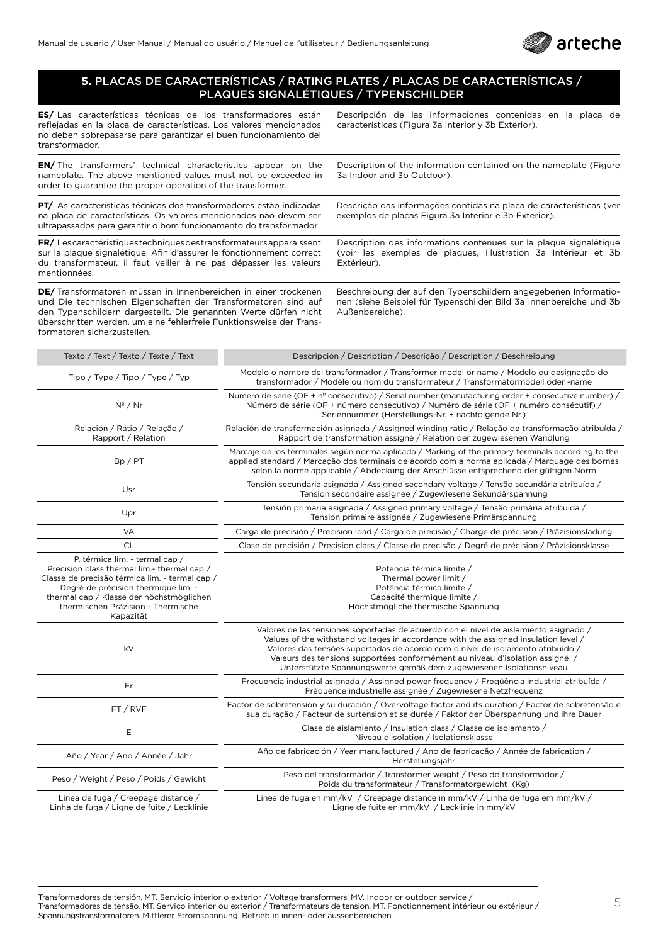

### **5.** PLACAS DE CARACTERÍSTICAS / RATING PLATES / PLACAS DE CARACTERÍSTICAS / PLAQUES SIGNALÉTIQUES / TYPENSCHILDER

**ES/** Las características técnicas de los transformadores están reflejadas en la placa de características. Los valores mencionados no deben sobrepasarse para garantizar el buen funcionamiento del transformador.

**EN/** The transformers' technical characteristics appear on the nameplate. The above mentioned values must not be exceeded in order to guarantee the proper operation of the transformer.

**PT/** As características técnicas dos transformadores estão indicadas na placa de características. Os valores mencionados não devem ser ultrapassados para garantir o bom funcionamento do transformador

**FR/** Les caractéristiques techniques des transformateurs apparaissent sur la plaque signalétique. Afin d'assurer le fonctionnement correct du transformateur, il faut veiller à ne pas dépasser les valeurs mentionnées.

**DE/** Transformatoren müssen in Innenbereichen in einer trockenen und Die technischen Eigenschaften der Transformatoren sind auf den Typenschildern dargestellt. Die genannten Werte dürfen nicht überschritten werden, um eine fehlerfreie Funktionsweise der Transformatoren sicherzustellen.

Descripción de las informaciones contenidas en la placa de características (Figura 3a Interior y 3b Exterior).

Description of the information contained on the nameplate (Figure 3a Indoor and 3b Outdoor).

Descrição das informações contidas na placa de características (ver exemplos de placas Figura 3a Interior e 3b Exterior).

Description des informations contenues sur la plaque signalétique (voir les exemples de plaques, Illustration 3a Intérieur et 3b Extérieur).

Beschreibung der auf den Typenschildern angegebenen Informationen (siehe Beispiel für Typenschilder Bild 3a Innenbereiche und 3b Außenbereiche).

| Texto / Text / Texto / Texte / Text                                                                                                                                                                                                                                   | Descripción / Description / Descrição / Description / Beschreibung                                                                                                                                                                                                                                                                                                                                                    |
|-----------------------------------------------------------------------------------------------------------------------------------------------------------------------------------------------------------------------------------------------------------------------|-----------------------------------------------------------------------------------------------------------------------------------------------------------------------------------------------------------------------------------------------------------------------------------------------------------------------------------------------------------------------------------------------------------------------|
| Tipo / Type / Tipo / Type / Typ                                                                                                                                                                                                                                       | Modelo o nombre del transformador / Transformer model or name / Modelo ou designação do<br>transformador / Modèle ou nom du transformateur / Transformatormodell oder -name                                                                                                                                                                                                                                           |
| $N^{\circ}$ / Nr                                                                                                                                                                                                                                                      | Número de serie (OF + nº consecutivo) / Serial number (manufacturing order + consecutive number) /<br>Número de série (OF + número consecutivo) / Numéro de série (OF + numéro consécutif) /<br>Seriennummer (Herstellungs-Nr. + nachfolgende Nr.)                                                                                                                                                                    |
| Relación / Ratio / Relação /<br>Rapport / Relation                                                                                                                                                                                                                    | Relación de transformación asignada / Assigned winding ratio / Relação de transformação atribuída /<br>Rapport de transformation assigné / Relation der zugewiesenen Wandlung                                                                                                                                                                                                                                         |
| Bp / PT                                                                                                                                                                                                                                                               | Marcaje de los terminales según norma aplicada / Marking of the primary terminals according to the<br>applied standard / Marcação dos terminais de acordo com a norma aplicada / Marquage des bornes<br>selon la norme applicable / Abdeckung der Anschlüsse entsprechend der gültigen Norm                                                                                                                           |
| Usr                                                                                                                                                                                                                                                                   | Tensión secundaria asignada / Assigned secondary voltage / Tensão secundária atribuída /<br>Tension secondaire assignée / Zugewiesene Sekundärspannung                                                                                                                                                                                                                                                                |
| Upr                                                                                                                                                                                                                                                                   | Tensión primaria asignada / Assigned primary voltage / Tensão primária atribuída /<br>Tension primaire assignée / Zugewiesene Primärspannung                                                                                                                                                                                                                                                                          |
| <b>VA</b>                                                                                                                                                                                                                                                             | Carga de precisión / Precision load / Carga de precisão / Charge de précision / Präzisionsladung                                                                                                                                                                                                                                                                                                                      |
| <b>CL</b>                                                                                                                                                                                                                                                             | Clase de precisión / Precision class / Classe de precisão / Degré de précision / Präzisionsklasse                                                                                                                                                                                                                                                                                                                     |
| P. térmica lim. - termal cap /<br>Precision class thermal lim.- thermal cap /<br>Classe de precisão térmica lim. - termal cap /<br>Degré de précision thermique lim. -<br>thermal cap / Klasse der höchstmöglichen<br>thermischen Präzision - Thermische<br>Kapazität | Potencia térmica límite /<br>Thermal power limit /<br>Potência térmica limite /<br>Capacité thermique limite /<br>Höchstmögliche thermische Spannung                                                                                                                                                                                                                                                                  |
| kV                                                                                                                                                                                                                                                                    | Valores de las tensiones soportadas de acuerdo con el nivel de aislamiento asignado /<br>Values of the withstand voltages in accordance with the assigned insulation level /<br>Valores das tensões suportadas de acordo com o nível de isolamento atribuído /<br>Valeurs des tensions supportées conformément au niveau d'isolation assigné /<br>Unterstützte Spannungswerte gemäß dem zugewiesenen Isolationsniveau |
| Fr                                                                                                                                                                                                                                                                    | Frecuencia industrial asignada / Assigned power frequency / Freqüência industrial atribuída /<br>Fréquence industrielle assignée / Zugewiesene Netzfrequenz                                                                                                                                                                                                                                                           |
| FT / RVF                                                                                                                                                                                                                                                              | Factor de sobretensión y su duración / Overvoltage factor and its duration / Factor de sobretensão e<br>sua duração / Facteur de surtension et sa durée / Faktor der Überspannung und ihre Dauer                                                                                                                                                                                                                      |
| Е                                                                                                                                                                                                                                                                     | Clase de aislamiento / Insulation class / Classe de isolamento /<br>Niveau d'isolation / Isolationsklasse                                                                                                                                                                                                                                                                                                             |
| Año / Year / Ano / Année / Jahr                                                                                                                                                                                                                                       | Año de fabricación / Year manufactured / Ano de fabricação / Année de fabrication /<br>Herstellungsjahr                                                                                                                                                                                                                                                                                                               |
| Peso / Weight / Peso / Poids / Gewicht                                                                                                                                                                                                                                | Peso del transformador / Transformer weight / Peso do transformador /<br>Poids du transformateur / Transformatorgewicht (Kg)                                                                                                                                                                                                                                                                                          |
| Línea de fuga / Creepage distance /<br>Linha de fuga / Ligne de fuite / Lecklinie                                                                                                                                                                                     | Línea de fuga en mm/kV / Creepage distance in mm/kV / Linha de fuga em mm/kV /<br>Ligne de fuite en mm/kV / Lecklinie in mm/kV                                                                                                                                                                                                                                                                                        |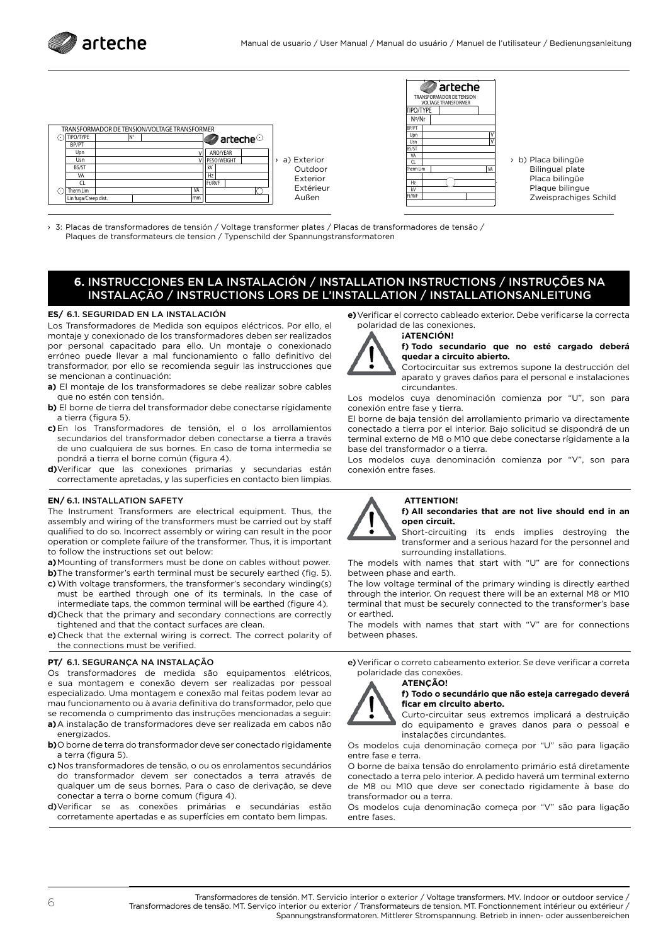

| TRANSFORMADOR DE TENSION/VOLTAGE TRANSFORMER |    |  |     |                                |               |
|----------------------------------------------|----|--|-----|--------------------------------|---------------|
| TIPO/TYPE                                    | N° |  |     | $\blacksquare$ arteche $\odot$ |               |
| BP/PT                                        |    |  |     |                                |               |
| Upn                                          |    |  |     | AÑO/YEAR                       |               |
| Usn                                          |    |  |     | PESO/WEIGHT                    | > a) Exterior |
| BS/ST                                        |    |  |     | kV                             | Outdoor       |
| VA                                           |    |  |     | H <sub>7</sub>                 | Exterior      |
| CI                                           |    |  |     | Ft/RVF                         |               |
| Therm Lim                                    |    |  | VA  |                                | Extérieur     |
| Lin fuga/Creep dist.                         |    |  | lmm |                                | Außen         |



› b) Placa bilingüe Bilingual plate Placa bilíngüe Plaque bilingue Zweisprachiges Schild

› 3: Placas de transformadores de tensión / Voltage transformer plates / Placas de transformadores de tensão / Plaques de transformateurs de tension / Typenschild der Spannungstransformatoren

## **6.** INSTRUCCIONES EN LA INSTALACIÓN / INSTALLATION INSTRUCTIONS / INSTRUÇÕES NA INSTALAÇÃO / INSTRUCTIONS LORS DE L'INSTALLATION / INSTALLATIONSANLEITUNG

#### **ES/** 6.1. SEGURIDAD EN LA INSTALACIÓN

Los Transformadores de Medida son equipos eléctricos. Por ello, el montaje y conexionado de los transformadores deben ser realizados por personal capacitado para ello. Un montaje o conexionado erróneo puede llevar a mal funcionamiento o fallo definitivo del transformador, por ello se recomienda seguir las instrucciones que se mencionan a continuación:

- **a)** El montaje de los transformadores se debe realizar sobre cables que no estén con tensión.
- **b)** El borne de tierra del transformador debe conectarse rígidamente a tierra (figura 5).
- **c)**En los Transformadores de tensión, el o los arrollamientos secundarios del transformador deben conectarse a tierra a través de uno cualquiera de sus bornes. En caso de toma intermedia se pondrá a tierra el borne común (figura 4).
- **d)**Verificar que las conexiones primarias y secundarias están correctamente apretadas, y las superficies en contacto bien limpias.

#### **EN/** 6.1. INSTALLATION SAFETY

The Instrument Transformers are electrical equipment. Thus, the assembly and wiring of the transformers must be carried out by staff qualified to do so. Incorrect assembly or wiring can result in the poor operation or complete failure of the transformer. Thus, it is important to follow the instructions set out below:

- **a)**Mounting of transformers must be done on cables without power.
- **b)**The transformer's earth terminal must be securely earthed (fig. 5). c)With voltage transformers, the transformer's secondary winding(s) must be earthed through one of its terminals. In the case of intermediate taps, the common terminal will be earthed (figure 4).
- d)Check that the primary and secondary connections are correctly tightened and that the contact surfaces are clean.
- e)Check that the external wiring is correct. The correct polarity of the connections must be verified.

#### **PT/** 6.1. SEGURANÇA NA INSTALAÇÃO

Os transformadores de medida são equipamentos elétricos, e sua montagem e conexão devem ser realizadas por pessoal especializado. Uma montagem e conexão mal feitas podem levar ao mau funcionamento ou à avaria definitiva do transformador, pelo que se recomenda o cumprimento das instruções mencionadas a seguir: **a)**A instalação de transformadores deve ser realizada em cabos não energizados.

**b)**O borne de terra do transformador deve ser conectado rigidamente a terra (figura 5).

- c)Nos transformadores de tensão, o ou os enrolamentos secundários do transformador devem ser conectados a terra através de qualquer um de seus bornes. Para o caso de derivação, se deve conectar a terra o borne comum (figura 4).
- d)Verificar se as conexões primárias e secundárias estão corretamente apertadas e as superfícies em contato bem limpas.

**e)**Verificar el correcto cableado exterior. Debe verificarse la correcta polaridad de las conexiones.

**f) Todo secundario que no esté cargado deberá quedar a circuito abierto.** 

Cortocircuitar sus extremos supone la destrucción del aparato y graves daños para el personal e instalaciones circundantes.

Los modelos cuya denominación comienza por "U", son para conexión entre fase y tierra.

El borne de baja tensión del arrollamiento primario va directamente conectado a tierra por el interior. Bajo solicitud se dispondrá de un terminal externo de M8 o M10 que debe conectarse rígidamente a la base del transformador o a tierra.

Los modelos cuya denominación comienza por "V", son para conexión entre fases.

### **ATTENTION!**

**¡ATENCIÓN!** 

**f) All secondaries that are not live should end in an open circuit.**

Short-circuiting its ends implies destroying the transformer and a serious hazard for the personnel and surrounding installations.

The models with names that start with "U" are for connections between phase and earth.

The low voltage terminal of the primary winding is directly earthed through the interior. On request there will be an external M8 or M10 terminal that must be securely connected to the transformer's base or earthed.

The models with names that start with "V" are for connections between phases.

e)Verificar o correto cabeamento exterior. Se deve verificar a correta polaridade das conexões. **ATENÇÃO!** 



**f) Todo o secundário que não esteja carregado deverá ficar em circuito aberto.** 

Curto-circuitar seus extremos implicará a destruição do equipamento e graves danos para o pessoal e instalações circundantes.

Os modelos cuja denominação começa por "U" são para ligação entre fase e terra.

O borne de baixa tensão do enrolamento primário está diretamente conectado a terra pelo interior. A pedido haverá um terminal externo de M8 ou M10 que deve ser conectado rigidamente à base do transformador ou a terra.

Os modelos cuja denominação começa por "V" são para ligação entre fases.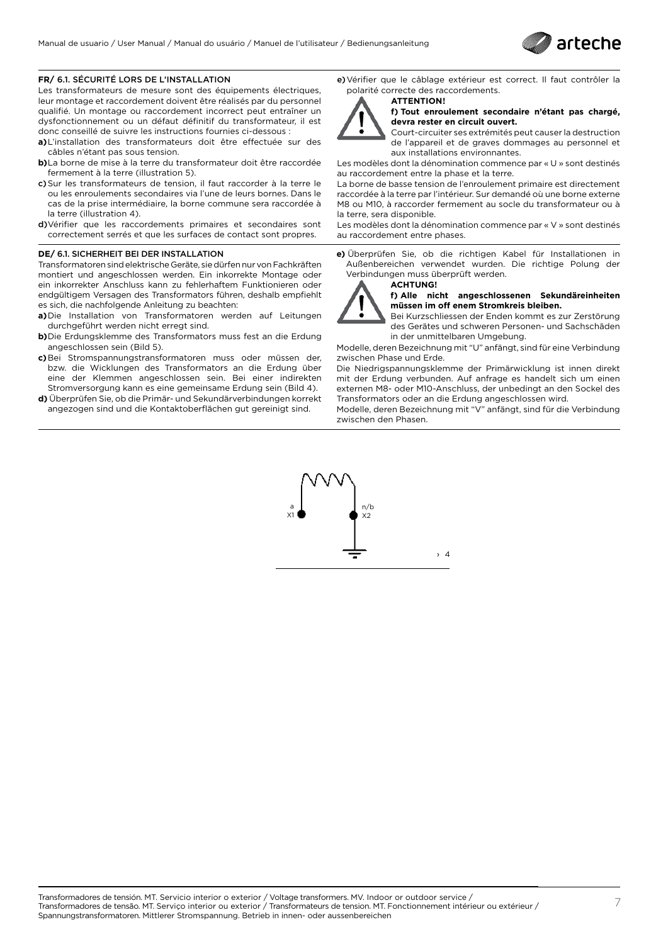

### **FR/** 6.1. SÉCURITÉ LORS DE L'INSTALLATION

Les transformateurs de mesure sont des équipements électriques, leur montage et raccordement doivent être réalisés par du personnel qualifié. Un montage ou raccordement incorrect peut entraîner un dysfonctionnement ou un défaut définitif du transformateur, il est donc conseillé de suivre les instructions fournies ci-dessous :

- **a)**L'installation des transformateurs doit être effectuée sur des câbles n'étant pas sous tension.
- **b)**La borne de mise à la terre du transformateur doit être raccordée fermement à la terre (illustration 5).
- c)Sur les transformateurs de tension, il faut raccorder à la terre le ou les enroulements secondaires via l'une de leurs bornes. Dans le cas de la prise intermédiaire, la borne commune sera raccordée à la terre (illustration 4).
- d)Vérifier que les raccordements primaires et secondaires sont correctement serrés et que les surfaces de contact sont propres.

#### **DE/** 6.1. SICHERHEIT BEI DER INSTALLATION

Transformatoren sind elektrische Geräte, sie dürfen nur von Fachkräften montiert und angeschlossen werden. Ein inkorrekte Montage oder ein inkorrekter Anschluss kann zu fehlerhaftem Funktionieren oder endgültigem Versagen des Transformators führen, deshalb empfiehlt es sich, die nachfolgende Anleitung zu beachten:

- **a)**Die Installation von Transformatoren werden auf Leitungen durchgeführt werden nicht erregt sind.
- **b)**Die Erdungsklemme des Transformators muss fest an die Erdung angeschlossen sein (Bild 5).
- **c)**Bei Stromspannungstransformatoren muss oder müssen der, bzw. die Wicklungen des Transformators an die Erdung über eine der Klemmen angeschlossen sein. Bei einer indirekten Stromversorgung kann es eine gemeinsame Erdung sein (Bild 4).
- **d)** Überprüfen Sie, ob die Primär- und Sekundärverbindungen korrekt angezogen sind und die Kontaktoberflächen gut gereinigt sind.

e)Vérifier que le câblage extérieur est correct. Il faut contrôler la polarité correcte des raccordements.



#### **ATTENTION ! f) Tout enroulement secondaire n'étant pas chargé, devra rester en circuit ouvert.**

Court-circuiter ses extrémités peut causer la destruction de l'appareil et de graves dommages au personnel et aux installations environnantes.

Les modèles dont la dénomination commence par « U » sont destinés au raccordement entre la phase et la terre.

La borne de basse tension de l'enroulement primaire est directement raccordée à la terre par l'intérieur. Sur demandé où une borne externe M8 ou M10, à raccorder fermement au socle du transformateur ou à la terre, sera disponible.

Les modèles dont la dénomination commence par « V » sont destinés au raccordement entre phases.

**e)** Überprüfen Sie, ob die richtigen Kabel für Installationen in Außenbereichen verwendet wurden. Die richtige Polung der Verbindungen muss überprüft werden.

**ACHTUNG!**



#### **f) Alle nicht angeschlossenen Sekundäreinheiten müssen im off enem Stromkreis bleiben.**

Bei Kurzschliessen der Enden kommt es zur Zerstörung des Gerätes und schweren Personen- und Sachschäden in der unmittelbaren Umgebung.

Modelle, deren Bezeichnung mit "U" anfängt, sind für eine Verbindung zwischen Phase und Erde.

Die Niedrigspannungsklemme der Primärwicklung ist innen direkt mit der Erdung verbunden. Auf anfrage es handelt sich um einen externen M8- oder M10-Anschluss, der unbedingt an den Sockel des Transformators oder an die Erdung angeschlossen wird.

Modelle, deren Bezeichnung mit "V" anfängt, sind für die Verbindung zwischen den Phasen.

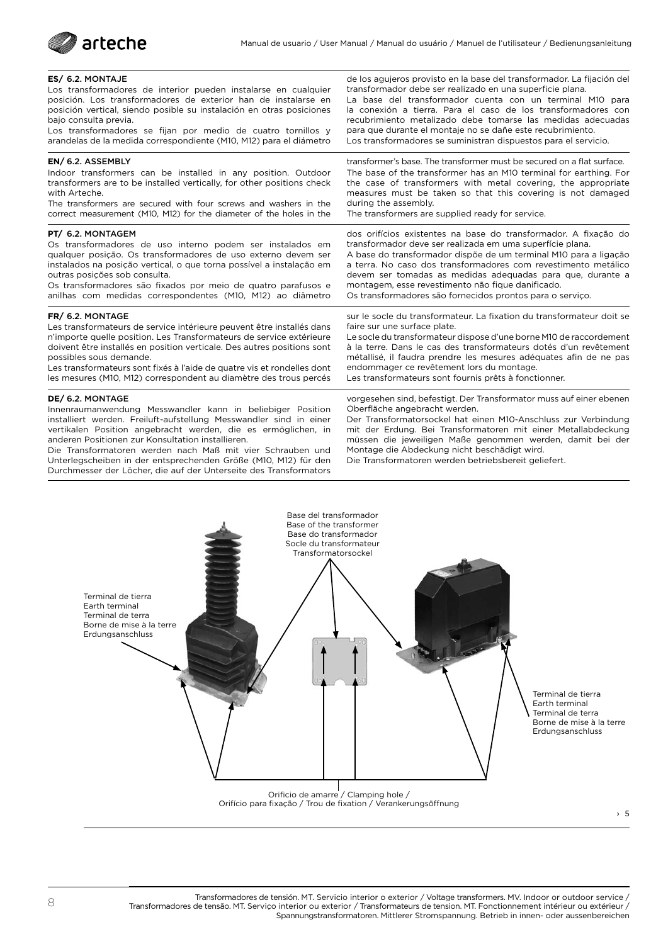

#### **ES/** 6.2. MONTAJE

Los transformadores de interior pueden instalarse en cualquier posición. Los transformadores de exterior han de instalarse en posición vertical, siendo posible su instalación en otras posiciones bajo consulta previa.

Los transformadores se fijan por medio de cuatro tornillos y arandelas de la medida correspondiente (M10, M12) para el diámetro

#### **EN/** 6.2. ASSEMBLY

Indoor transformers can be installed in any position. Outdoor transformers are to be installed vertically, for other positions check with Arteche.

The transformers are secured with four screws and washers in the correct measurement (M10, M12) for the diameter of the holes in the

#### **PT/** 6.2. MONTAGEM

Os transformadores de uso interno podem ser instalados em qualquer posição. Os transformadores de uso externo devem ser instalados na posição vertical, o que torna possível a instalação em outras posições sob consulta.

Os transformadores são fixados por meio de quatro parafusos e anilhas com medidas correspondentes (M10, M12) ao diâmetro

#### **FR/** 6.2. MONTAGE

Les transformateurs de service intérieure peuvent être installés dans n'importe quelle position. Les Transformateurs de service extérieure doivent être installés en position verticale. Des autres positions sont possibles sous demande.

Les transformateurs sont fixés à l'aide de quatre vis et rondelles dont les mesures (M10, M12) correspondent au diamètre des trous percés

#### **DE/** 6.2. MONTAGE

Innenraumanwendung Messwandler kann in beliebiger Position installiert werden. Freiluft-aufstellung Messwandler sind in einer vertikalen Position angebracht werden, die es ermöglichen, in anderen Positionen zur Konsultation installieren.

Die Transformatoren werden nach Maß mit vier Schrauben und Unterlegscheiben in der entsprechenden Größe (M10, M12) für den Durchmesser der Löcher, die auf der Unterseite des Transformators

de los agujeros provisto en la base del transformador. La fijación del transformador debe ser realizado en una superficie plana. La base del transformador cuenta con un terminal M10 para

la conexión a tierra. Para el caso de los transformadores con recubrimiento metalizado debe tomarse las medidas adecuadas para que durante el montaje no se dañe este recubrimiento. Los transformadores se suministran dispuestos para el servicio.

transformer's base. The transformer must be secured on a flat surface. The base of the transformer has an M10 terminal for earthing. For the case of transformers with metal covering, the appropriate measures must be taken so that this covering is not damaged during the assembly.

The transformers are supplied ready for service.

dos orifícios existentes na base do transformador. A fixação do transformador deve ser realizada em uma superfície plana.

A base do transformador dispõe de um terminal M10 para a ligação a terra. No caso dos transformadores com revestimento metálico devem ser tomadas as medidas adequadas para que, durante a montagem, esse revestimento não fique danificado.

Os transformadores são fornecidos prontos para o serviço.

sur le socle du transformateur. La fixation du transformateur doit se faire sur une surface plate.

Le socle du transformateur dispose d'une borne M10 de raccordement à la terre. Dans le cas des transformateurs dotés d'un revêtement métallisé, il faudra prendre les mesures adéquates afin de ne pas endommager ce revêtement lors du montage. Les transformateurs sont fournis prêts à fonctionner.

vorgesehen sind, befestigt. Der Transformator muss auf einer ebenen Oberfläche angebracht werden.

Der Transformatorsockel hat einen M10-Anschluss zur Verbindung mit der Erdung. Bei Transformatoren mit einer Metallabdeckung müssen die jeweiligen Maße genommen werden, damit bei der Montage die Abdeckung nicht beschädigt wird.

Die Transformatoren werden betriebsbereit geliefert.



Orificio de amarre / Clamping hole / Orifício para fixação / Trou de fixation / Verankerungsöffnung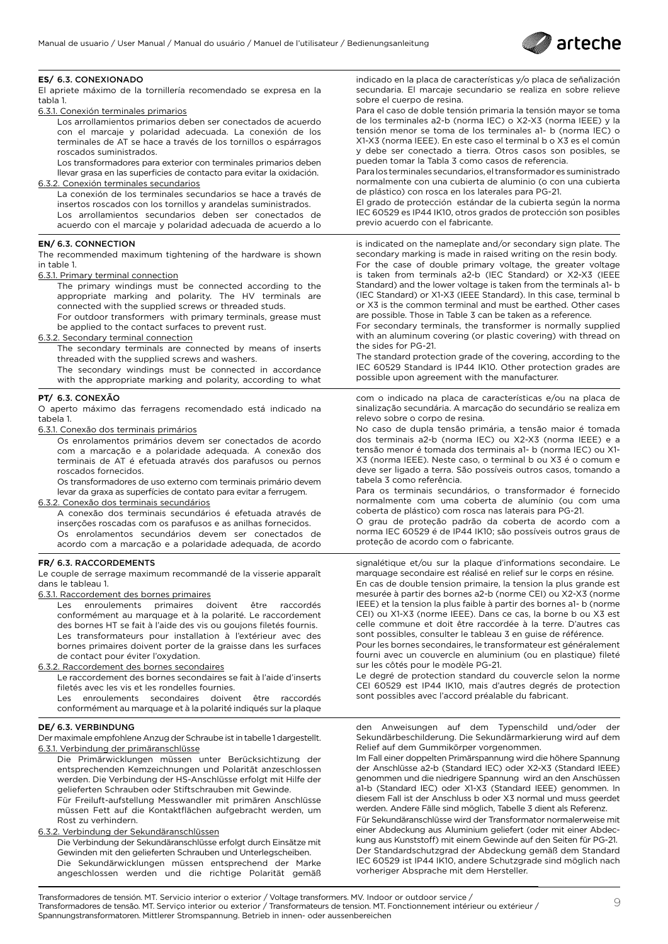

#### **ES/** 6.3. CONEXIONADO

El apriete máximo de la tornillería recomendado se expresa en la tabla 1.

6.3.1. Conexión terminales primarios

Los arrollamientos primarios deben ser conectados de acuerdo con el marcaje y polaridad adecuada. La conexión de los terminales de AT se hace a través de los tornillos o espárragos roscados suministrados.

Los transformadores para exterior con terminales primarios deben llevar grasa en las superficies de contacto para evitar la oxidación.

6.3.2. Conexión terminales secundarios

La conexión de los terminales secundarios se hace a través de insertos roscados con los tornillos y arandelas suministrados. Los arrollamientos secundarios deben ser conectados de acuerdo con el marcaje y polaridad adecuada de acuerdo a lo

#### **EN/** 6.3. CONNECTION

The recommended maximum tightening of the hardware is shown in table 1.

6.3.1. Primary terminal connection

The primary windings must be connected according to the appropriate marking and polarity. The HV terminals are connected with the supplied screws or threaded studs.

For outdoor transformers with primary terminals, grease must be applied to the contact surfaces to prevent rust.

6.3.2. Secondary terminal connection

The secondary terminals are connected by means of inserts threaded with the supplied screws and washers.

The secondary windings must be connected in accordance with the appropriate marking and polarity, according to what

#### **PT/** 6.3. CONEXÃO

O aperto máximo das ferragens recomendado está indicado na tabela 1.

6.3.1. Conexão dos terminais primários

Os enrolamentos primários devem ser conectados de acordo com a marcação e a polaridade adequada. A conexão dos terminais de AT é efetuada através dos parafusos ou pernos roscados fornecidos.

Os transformadores de uso externo com terminais primário devem levar da graxa as superfícies de contato para evitar a ferrugem.

6.3.2. Conexão dos terminais secundários

A conexão dos terminais secundários é efetuada através de inserções roscadas com os parafusos e as anilhas fornecidos. Os enrolamentos secundários devem ser conectados de acordo com a marcação e a polaridade adequada, de acordo

#### **FR/** 6.3. RACCORDEMENTS

Le couple de serrage maximum recommandé de la visserie apparaît dans le tableau 1.

6.3.1. Raccordement des bornes primaires

Les enroulements primaires doivent être raccordés conformément au marquage et à la polarité. Le raccordement des bornes HT se fait à l'aide des vis ou goujons filetés fournis. Les transformateurs pour installation à l'extérieur avec des bornes primaires doivent porter de la graisse dans les surfaces de contact pour éviter l'oxydation.

6.3.2. Raccordement des bornes secondaires

Le raccordement des bornes secondaires se fait à l'aide d'inserts filetés avec les vis et les rondelles fournies.

Les enroulements secondaires doivent être raccordés conformément au marquage et à la polarité indiqués sur la plaque

#### **DE/** 6.3. VERBINDUNG

Der maximale empfohlene Anzug der Schraube ist in tabelle 1 dargestellt. 6.3.1. Verbindung der primäranschlüsse

Die Primärwicklungen müssen unter Berücksichtizung der entsprechenden Kemzeichnungen und Polarität anzeschlossen werden. Die Verbindung der HS-Anschlüsse erfolgt mit Hilfe der gelieferten Schrauben oder Stiftschrauben mit Gewinde.

Für Freiluft-aufstellung Messwandler mit primären Anschlüsse müssen Fett auf die Kontaktflächen aufgebracht werden, um Rost zu verhindern.

#### 6.3.2. Verbindung der Sekundäranschlüssen

Die Verbindung der Sekundäranschlüsse erfolgt durch Einsätze mit Gewinden mit den gelieferten Schrauben und Unterlegscheiben. Die Sekundärwicklungen müssen entsprechend der Marke angeschlossen werden und die richtige Polarität gemäß

indicado en la placa de características y/o placa de señalización secundaria. El marcaje secundario se realiza en sobre relieve sobre el cuerpo de resina.

Para el caso de doble tensión primaria la tensión mayor se toma de los terminales a2-b (norma IEC) o X2-X3 (norma IEEE) y la tensión menor se toma de los terminales a1- b (norma IEC) o X1-X3 (norma IEEE). En este caso el terminal b o X3 es el común y debe ser conectado a tierra. Otros casos son posibles, se pueden tomar la Tabla 3 como casos de referencia.

Para los terminales secundarios, el transformador es suministrado normalmente con una cubierta de aluminio (o con una cubierta de plástico) con rosca en los laterales para PG-21.

El grado de protección estándar de la cubierta según la norma IEC 60529 es IP44 IK10, otros grados de protección son posibles previo acuerdo con el fabricante.

is indicated on the nameplate and/or secondary sign plate. The secondary marking is made in raised writing on the resin body. For the case of double primary voltage, the greater voltage is taken from terminals a2-b (IEC Standard) or X2-X3 (IEEE Standard) and the lower voltage is taken from the terminals a1- b (IEC Standard) or X1-X3 (IEEE Standard). In this case, terminal b or X3 is the common terminal and must be earthed. Other cases are possible. Those in Table 3 can be taken as a reference.

For secondary terminals, the transformer is normally supplied with an aluminum covering (or plastic covering) with thread on the sides for PG-21.

The standard protection grade of the covering, according to the IEC 60529 Standard is IP44 IK10. Other protection grades are possible upon agreement with the manufacturer.

com o indicado na placa de características e/ou na placa de sinalização secundária. A marcação do secundário se realiza em relevo sobre o corpo de resina.

No caso de dupla tensão primária, a tensão maior é tomada dos terminais a2-b (norma IEC) ou X2-X3 (norma IEEE) e a tensão menor é tomada dos terminais a1- b (norma IEC) ou X1- X3 (norma IEEE). Neste caso, o terminal b ou X3 é o comum e deve ser ligado a terra. São possíveis outros casos, tomando a tabela 3 como referência.

Para os terminais secundários, o transformador é fornecido normalmente com uma coberta de alumínio (ou com uma coberta de plástico) com rosca nas laterais para PG-21.

O grau de proteção padrão da coberta de acordo com a norma IEC 60529 é de IP44 IK10; são possíveis outros graus de proteção de acordo com o fabricante.

signalétique et/ou sur la plaque d'informations secondaire. Le marquage secondaire est réalisé en relief sur le corps en résine.

En cas de double tension primaire, la tension la plus grande est mesurée à partir des bornes a2-b (norme CEI) ou X2-X3 (norme IEEE) et la tension la plus faible à partir des bornes a1- b (norme CEI) ou X1-X3 (norme IEEE). Dans ce cas, la borne b ou X3 est celle commune et doit être raccordée à la terre. D'autres cas sont possibles, consulter le tableau 3 en guise de référence.

Pour les bornes secondaires, le transformateur est généralement fourni avec un couvercle en aluminium (ou en plastique) fileté sur les côtés pour le modèle PG-21.

Le degré de protection standard du couvercle selon la norme CEI 60529 est IP44 IK10, mais d'autres degrés de protection sont possibles avec l'accord préalable du fabricant.

den Anweisungen auf dem Typenschild und/oder der Sekundärbeschilderung. Die Sekundärmarkierung wird auf dem Relief auf dem Gummikörper vorgenommen.

Im Fall einer doppelten Primärspannung wird die höhere Spannung der Anschlüsse a2-b (Standard IEC) oder X2-X3 (Standard IEEE) genommen und die niedrigere Spannung wird an den Anschüssen a1-b (Standard IEC) oder X1-X3 (Standard IEEE) genommen. In diesem Fall ist der Anschluss b oder X3 normal und muss geerdet werden. Andere Fälle sind möglich, Tabelle 3 dient als Referenz.

Für Sekundäranschlüsse wird der Transformator normalerweise mit einer Abdeckung aus Aluminium geliefert (oder mit einer Abdeckung aus Kunststoff) mit einem Gewinde auf den Seiten für PG-21. Der Standardschutzgrad der Abdeckung gemäß dem Standard IEC 60529 ist IP44 IK10, andere Schutzgrade sind möglich nach vorheriger Absprache mit dem Hersteller.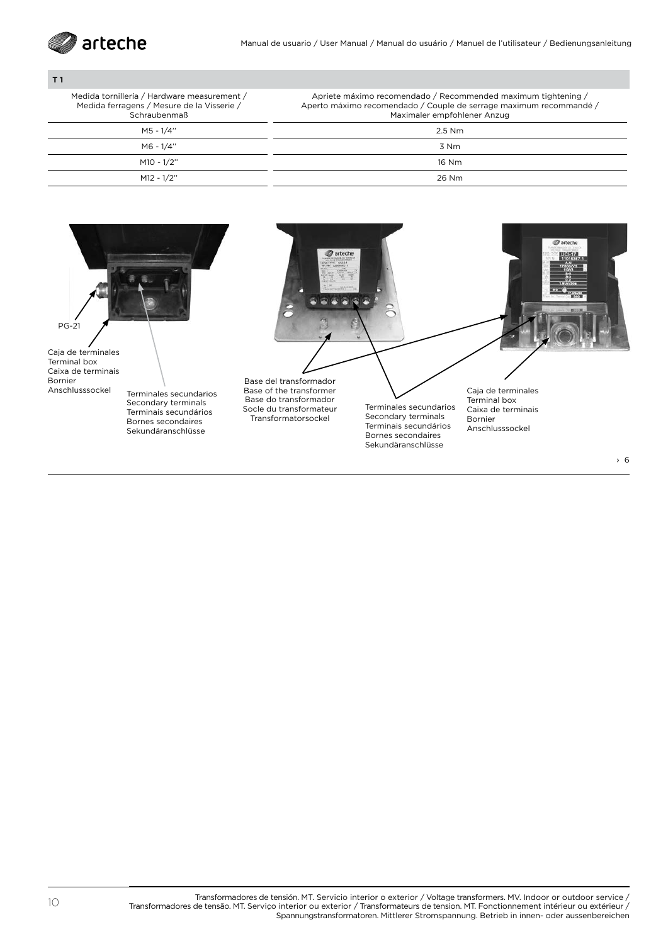

### **T 1**

Medida tornillería / Hardware measurement / Medida ferragens / Mesure de la Visserie /

Apriete máximo recomendado / Recommended maximum tightening / Aperto máximo recomendado / Couple de serrage maximum recommandé /

| Schraubenmaß | Maximaler empfohlener Anzug |
|--------------|-----------------------------|
| M5 - 1/4"    | 2.5 Nm                      |
| M6 - 1/4"    | 3 Nm                        |
| M10 - 1/2"   | 16 Nm                       |
| M12 - 1/2"   | 26 Nm                       |

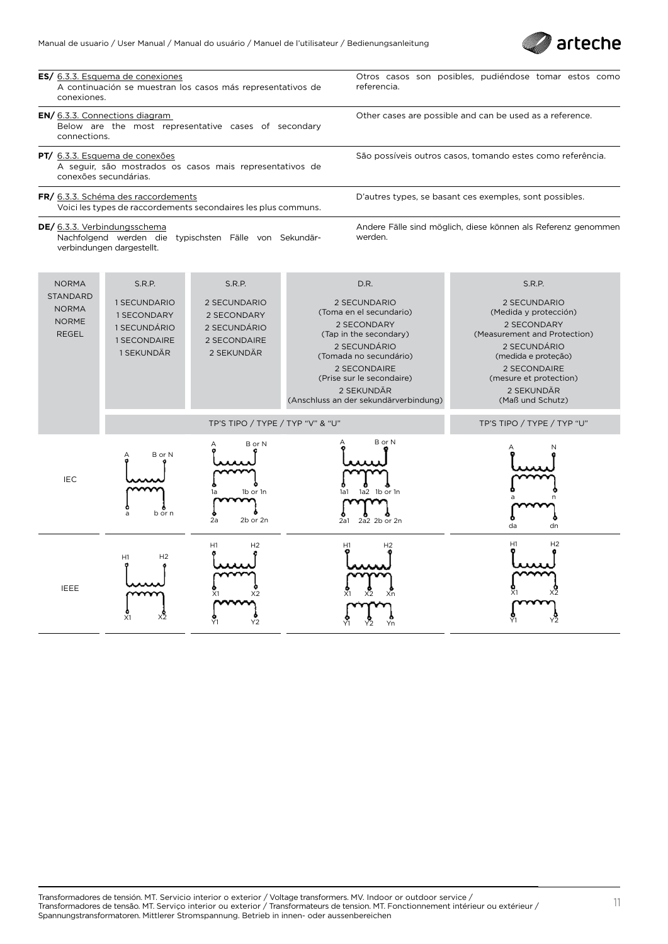



X1 X2

Xn

X1 X2

Y1 Y2

Yn

Y1 Y2

X1 X2

X1 X2

Y2